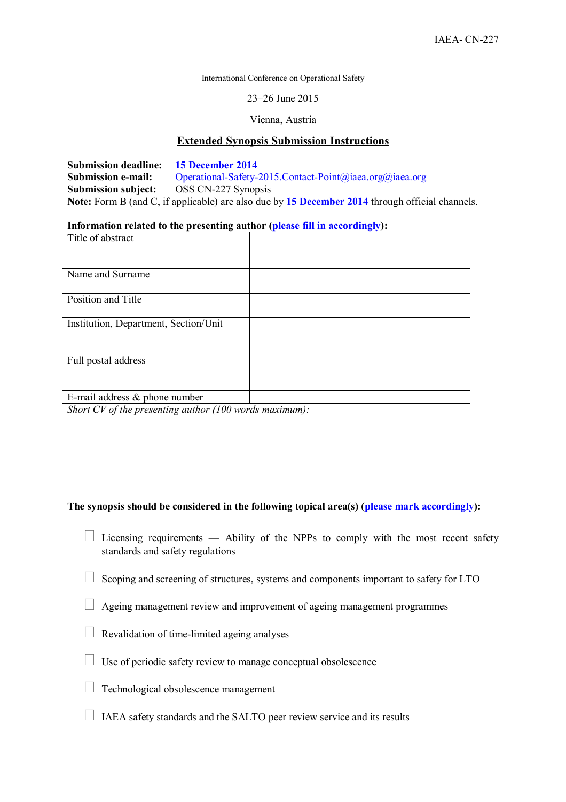International Conference on Operational Safety

23–26 June 2015

Vienna, Austria

## **Extended Synopsis Submission Instructions**

**Submission deadline:** 15 December 2014<br> **Submission e-mail:** Operational-Safety-2014 Operational-Safety-2015.Contact-Point@iaea.org@iaea.org **Submission subject:** OSS CN-227 Synopsis **Note:** Form B (and C, if applicable) are also due by **15 December 2014** through official channels.

## **Information related to the presenting author (please fill in accordingly):**

| Title of abstract                                      |  |
|--------------------------------------------------------|--|
|                                                        |  |
|                                                        |  |
| Name and Surname                                       |  |
|                                                        |  |
| Position and Title                                     |  |
|                                                        |  |
| Institution, Department, Section/Unit                  |  |
|                                                        |  |
|                                                        |  |
| Full postal address                                    |  |
|                                                        |  |
|                                                        |  |
| E-mail address $\&$ phone number                       |  |
| Short CV of the presenting author (100 words maximum): |  |
|                                                        |  |
|                                                        |  |
|                                                        |  |
|                                                        |  |
|                                                        |  |
|                                                        |  |

## **The synopsis should be considered in the following topical area(s) (please mark accordingly):**

 Licensing requirements — Ability of the NPPs to comply with the most recent safety standards and safety regulations

Scoping and screening of structures, systems and components important to safety for LTO

Ageing management review and improvement of ageing management programmes

Revalidation of time-limited ageing analyses

Use of periodic safety review to manage conceptual obsolescence

Technological obsolescence management

IAEA safety standards and the SALTO peer review service and its results